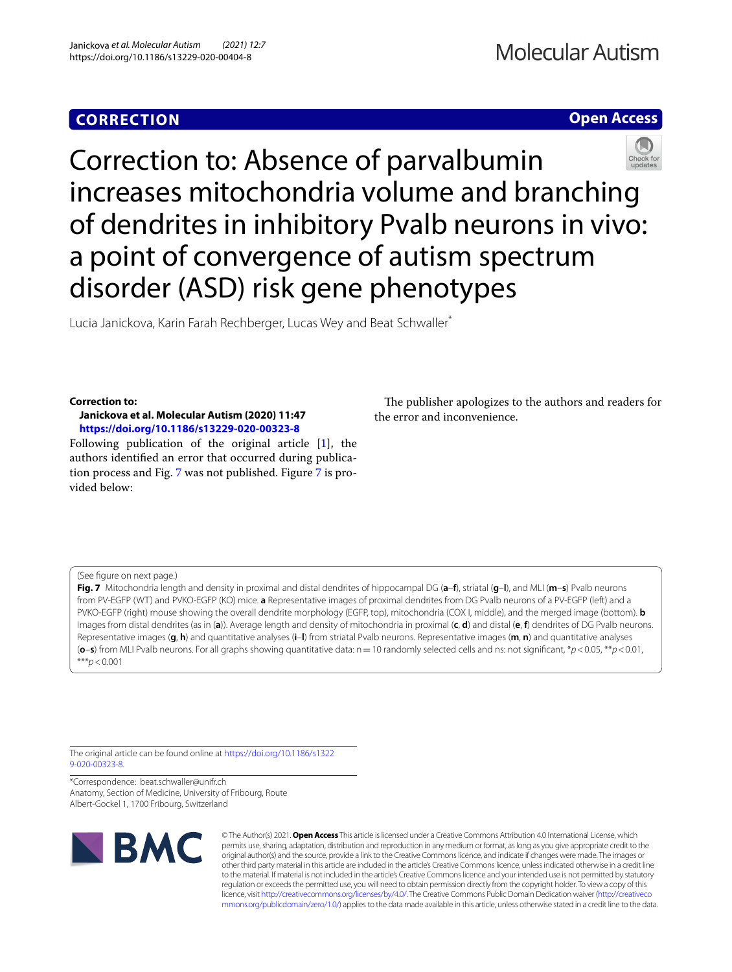## **CORRECTION**

# **Molecular Autism**

### **Open Access**



Correction to: Absence of parvalbumin increases mitochondria volume and branching of dendrites in inhibitory Pvalb neurons in vivo: a point of convergence of autism spectrum disorder (ASD) risk gene phenotypes

Lucia Janickova, Karin Farah Rechberger, Lucas Wey and Beat Schwaller<sup>\*</sup>

#### **Correction to:**

#### **Janickova et al. Molecular Autism (2020) 11:47 <https://doi.org/10.1186/s13229-020-00323-8>**

Following publication of the original article [\[1\]](#page-2-0), the authors identifed an error that occurred during publication process and Fig. [7](#page-0-0) was not published. Figure [7](#page-0-0) is provided below:

The publisher apologizes to the authors and readers for the error and inconvenience.

(See fgure on next page.)

<span id="page-0-0"></span>**Fig. 7** Mitochondria length and density in proximal and distal dendrites of hippocampal DG (**a**–**f**), striatal (**g**–**l**), and MLI (**m**–**s**) Pvalb neurons from PV-EGFP (WT) and PVKO-EGFP (KO) mice. **a** Representative images of proximal dendrites from DG Pvalb neurons of a PV-EGFP (left) and a PVKO-EGFP (right) mouse showing the overall dendrite morphology (EGFP, top), mitochondria (COX I, middle), and the merged image (bottom). **b** Images from distal dendrites (as in (**a**)). Average length and density of mitochondria in proximal (**c**, **d**) and distal (**e**, **f**) dendrites of DG Pvalb neurons. Representative images (**g**, **h**) and quantitative analyses (**i**–**l**) from striatal Pvalb neurons. Representative images (**m**, **n**) and quantitative analyses (**o**–**s**) from MLI Pvalb neurons. For all graphs showing quantitative data: n=10 randomly selected cells and ns: not signifcant, \**p*<0.05, \*\**p*<0.01, \*\*\**p*<0.001

The original article can be found online at [https://doi.org/10.1186/s1322](https://doi.org/10.1186/s13229-020-00323-8) [9-020-00323-8.](https://doi.org/10.1186/s13229-020-00323-8)

\*Correspondence: beat.schwaller@unifr.ch Anatomy, Section of Medicine, University of Fribourg, Route Albert-Gockel 1, 1700 Fribourg, Switzerland



© The Author(s) 2021. **Open Access** This article is licensed under a Creative Commons Attribution 4.0 International License, which permits use, sharing, adaptation, distribution and reproduction in any medium or format, as long as you give appropriate credit to the original author(s) and the source, provide a link to the Creative Commons licence, and indicate if changes were made. The images or other third party material in this article are included in the article's Creative Commons licence, unless indicated otherwise in a credit line to the material. If material is not included in the article's Creative Commons licence and your intended use is not permitted by statutory regulation or exceeds the permitted use, you will need to obtain permission directly from the copyright holder. To view a copy of this licence, visit [http://creativecommons.org/licenses/by/4.0/.](http://creativecommons.org/licenses/by/4.0/) The Creative Commons Public Domain Dedication waiver ([http://creativeco](http://creativecommons.org/publicdomain/zero/1.0/) [mmons.org/publicdomain/zero/1.0/](http://creativecommons.org/publicdomain/zero/1.0/)) applies to the data made available in this article, unless otherwise stated in a credit line to the data.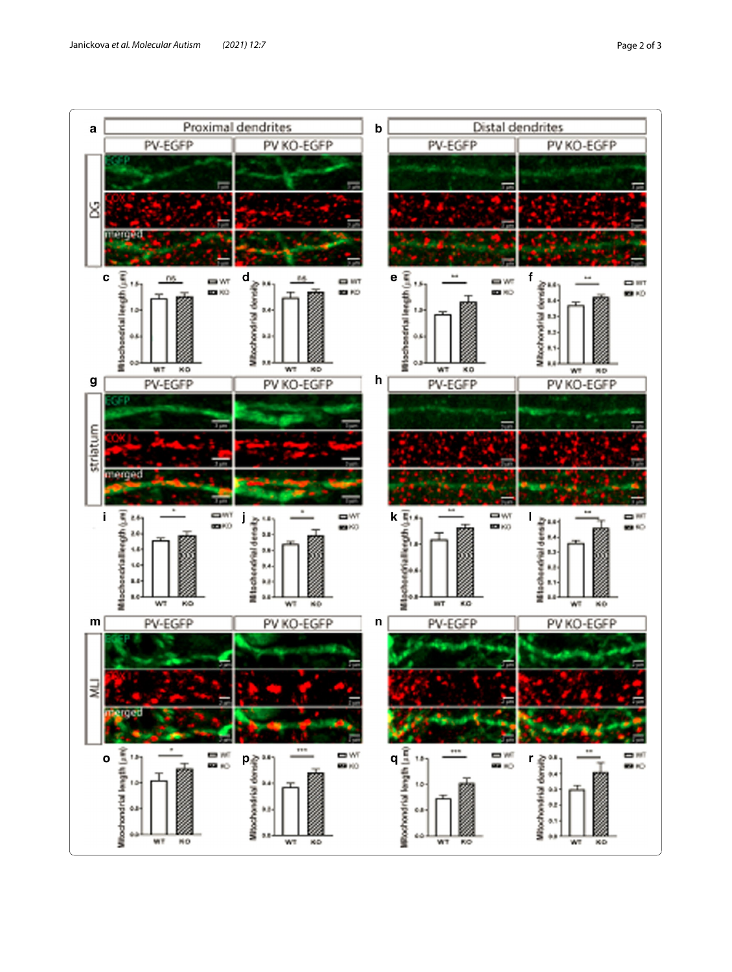